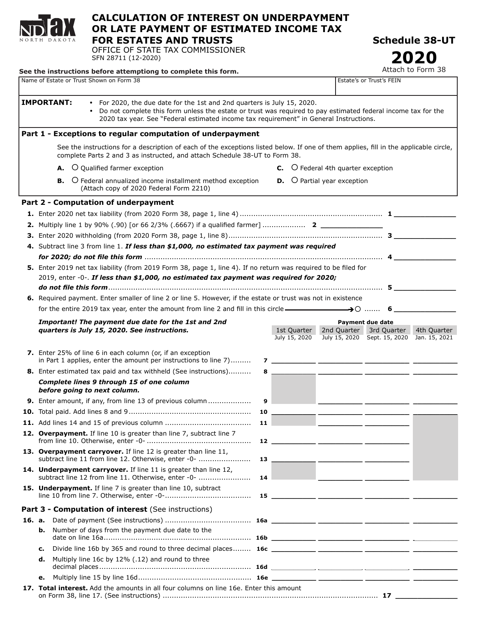

## **CALCULATION OF INTEREST ON UNDERPAYMENT OR LATE PAYMENT OF ESTIMATED INCOME TAX FOR ESTATES AND TRUSTS**

OFFICE OF STATE TAX COMMISSIONER SFN 28711 (12-2020)

See the instructions before attemptiong to complete this form.

**Schedule 38-UT**

**2020**<br>Attach to Form 38

|                                                                                                                                                                                            |                                                                                                                                                                                                                                 | Name of Estate or Trust Shown on Form 38                                  |  |  |  |  |  |  |  |  |  |                                                   |                                             |                                                                                                                                                                   |    |  |  |                              |  | Estate's or Trust's FEIN |  |  |  |                               |  |                                                                                                                                       |  |
|--------------------------------------------------------------------------------------------------------------------------------------------------------------------------------------------|---------------------------------------------------------------------------------------------------------------------------------------------------------------------------------------------------------------------------------|---------------------------------------------------------------------------|--|--|--|--|--|--|--|--|--|---------------------------------------------------|---------------------------------------------|-------------------------------------------------------------------------------------------------------------------------------------------------------------------|----|--|--|------------------------------|--|--------------------------|--|--|--|-------------------------------|--|---------------------------------------------------------------------------------------------------------------------------------------|--|
|                                                                                                                                                                                            |                                                                                                                                                                                                                                 | <b>IMPORTANT:</b>                                                         |  |  |  |  |  |  |  |  |  |                                                   |                                             | • For 2020, the due date for the 1st and 2nd quarters is July 15, 2020.<br>2020 tax year. See "Federal estimated income tax requirement" in General Instructions. |    |  |  |                              |  |                          |  |  |  |                               |  | Do not complete this form unless the estate or trust was required to pay estimated federal income tax for the                         |  |
|                                                                                                                                                                                            |                                                                                                                                                                                                                                 |                                                                           |  |  |  |  |  |  |  |  |  |                                                   |                                             | Part 1 - Exceptions to regular computation of underpayment                                                                                                        |    |  |  |                              |  |                          |  |  |  |                               |  |                                                                                                                                       |  |
|                                                                                                                                                                                            |                                                                                                                                                                                                                                 |                                                                           |  |  |  |  |  |  |  |  |  |                                                   |                                             |                                                                                                                                                                   |    |  |  |                              |  |                          |  |  |  |                               |  | See the instructions for a description of each of the exceptions listed below. If one of them applies, fill in the applicable circle, |  |
|                                                                                                                                                                                            | complete Parts 2 and 3 as instructed, and attach Schedule 38-UT to Form 38.<br>A. O Qualified farmer exception<br><b>B.</b> O Federal annualized income installment method exception<br>(Attach copy of 2020 Federal Form 2210) |                                                                           |  |  |  |  |  |  |  |  |  |                                                   | <b>C.</b> O Federal 4th quarter exception   |                                                                                                                                                                   |    |  |  |                              |  |                          |  |  |  |                               |  |                                                                                                                                       |  |
|                                                                                                                                                                                            |                                                                                                                                                                                                                                 |                                                                           |  |  |  |  |  |  |  |  |  |                                                   | <b>D.</b> $\bigcirc$ Partial year exception |                                                                                                                                                                   |    |  |  |                              |  |                          |  |  |  |                               |  |                                                                                                                                       |  |
|                                                                                                                                                                                            |                                                                                                                                                                                                                                 | Part 2 - Computation of underpayment                                      |  |  |  |  |  |  |  |  |  |                                                   |                                             |                                                                                                                                                                   |    |  |  |                              |  |                          |  |  |  |                               |  |                                                                                                                                       |  |
|                                                                                                                                                                                            |                                                                                                                                                                                                                                 |                                                                           |  |  |  |  |  |  |  |  |  |                                                   |                                             |                                                                                                                                                                   |    |  |  |                              |  |                          |  |  |  |                               |  |                                                                                                                                       |  |
|                                                                                                                                                                                            |                                                                                                                                                                                                                                 |                                                                           |  |  |  |  |  |  |  |  |  |                                                   |                                             |                                                                                                                                                                   |    |  |  |                              |  |                          |  |  |  |                               |  |                                                                                                                                       |  |
|                                                                                                                                                                                            |                                                                                                                                                                                                                                 |                                                                           |  |  |  |  |  |  |  |  |  |                                                   |                                             |                                                                                                                                                                   |    |  |  |                              |  |                          |  |  |  |                               |  |                                                                                                                                       |  |
|                                                                                                                                                                                            |                                                                                                                                                                                                                                 |                                                                           |  |  |  |  |  |  |  |  |  |                                                   |                                             | 4. Subtract line 3 from line 1. If less than \$1,000, no estimated tax payment was required                                                                       |    |  |  |                              |  |                          |  |  |  |                               |  |                                                                                                                                       |  |
|                                                                                                                                                                                            |                                                                                                                                                                                                                                 |                                                                           |  |  |  |  |  |  |  |  |  |                                                   |                                             |                                                                                                                                                                   |    |  |  |                              |  |                          |  |  |  |                               |  |                                                                                                                                       |  |
|                                                                                                                                                                                            | 5. Enter 2019 net tax liability (from 2019 Form 38, page 1, line 4). If no return was required to be filed for<br>2019, enter -0-. If less than \$1,000, no estimated tax payment was required for 2020;                        |                                                                           |  |  |  |  |  |  |  |  |  |                                                   |                                             |                                                                                                                                                                   |    |  |  |                              |  |                          |  |  |  |                               |  |                                                                                                                                       |  |
|                                                                                                                                                                                            |                                                                                                                                                                                                                                 |                                                                           |  |  |  |  |  |  |  |  |  |                                                   |                                             | 6. Required payment. Enter smaller of line 2 or line 5. However, if the estate or trust was not in existence                                                      |    |  |  |                              |  |                          |  |  |  |                               |  |                                                                                                                                       |  |
|                                                                                                                                                                                            |                                                                                                                                                                                                                                 |                                                                           |  |  |  |  |  |  |  |  |  |                                                   |                                             |                                                                                                                                                                   |    |  |  |                              |  |                          |  |  |  |                               |  |                                                                                                                                       |  |
| for the entire 2019 tax year, enter the amount from line 2 and fill in this circle $\longrightarrow 0$ 6<br>Important! The payment due date for the 1st and 2nd<br><b>Payment due date</b> |                                                                                                                                                                                                                                 |                                                                           |  |  |  |  |  |  |  |  |  |                                                   |                                             |                                                                                                                                                                   |    |  |  |                              |  |                          |  |  |  |                               |  |                                                                                                                                       |  |
|                                                                                                                                                                                            |                                                                                                                                                                                                                                 | quarters is July 15, 2020. See instructions.                              |  |  |  |  |  |  |  |  |  |                                                   |                                             |                                                                                                                                                                   |    |  |  | 1st Quarter<br>July 15, 2020 |  |                          |  |  |  |                               |  | 2nd Quarter 3rd Quarter 4th Quarter<br>July 15, 2020 Sept. 15, 2020 Jan. 15, 2021                                                     |  |
|                                                                                                                                                                                            |                                                                                                                                                                                                                                 | 7. Enter 25% of line 6 in each column (or, if an exception                |  |  |  |  |  |  |  |  |  |                                                   |                                             | in Part 1 applies, enter the amount per instructions to line 7)                                                                                                   |    |  |  |                              |  |                          |  |  |  |                               |  |                                                                                                                                       |  |
|                                                                                                                                                                                            |                                                                                                                                                                                                                                 |                                                                           |  |  |  |  |  |  |  |  |  |                                                   |                                             | <b>8.</b> Enter estimated tax paid and tax withheld (See instructions)                                                                                            |    |  |  |                              |  |                          |  |  |  |                               |  | 8 ________ ________ _______ ________                                                                                                  |  |
|                                                                                                                                                                                            |                                                                                                                                                                                                                                 | Complete lines 9 through 15 of one column<br>before going to next column. |  |  |  |  |  |  |  |  |  |                                                   |                                             |                                                                                                                                                                   |    |  |  |                              |  |                          |  |  |  |                               |  |                                                                                                                                       |  |
|                                                                                                                                                                                            |                                                                                                                                                                                                                                 |                                                                           |  |  |  |  |  |  |  |  |  |                                                   |                                             | 9. Enter amount, if any, from line 13 of previous column                                                                                                          | 9  |  |  |                              |  |                          |  |  |  |                               |  |                                                                                                                                       |  |
|                                                                                                                                                                                            |                                                                                                                                                                                                                                 |                                                                           |  |  |  |  |  |  |  |  |  |                                                   |                                             |                                                                                                                                                                   |    |  |  |                              |  |                          |  |  |  |                               |  |                                                                                                                                       |  |
|                                                                                                                                                                                            |                                                                                                                                                                                                                                 |                                                                           |  |  |  |  |  |  |  |  |  |                                                   |                                             |                                                                                                                                                                   |    |  |  |                              |  |                          |  |  |  |                               |  |                                                                                                                                       |  |
|                                                                                                                                                                                            |                                                                                                                                                                                                                                 | 12. Overpayment. If line 10 is greater than line 7, subtract line 7       |  |  |  |  |  |  |  |  |  |                                                   |                                             |                                                                                                                                                                   |    |  |  |                              |  |                          |  |  |  |                               |  |                                                                                                                                       |  |
|                                                                                                                                                                                            |                                                                                                                                                                                                                                 | 13. Overpayment carryover. If line 12 is greater than line 11,            |  |  |  |  |  |  |  |  |  |                                                   |                                             | subtract line 11 from line 12. Otherwise, enter -0-                                                                                                               | 13 |  |  |                              |  |                          |  |  |  |                               |  |                                                                                                                                       |  |
|                                                                                                                                                                                            |                                                                                                                                                                                                                                 | 14. Underpayment carryover. If line 11 is greater than line 12,           |  |  |  |  |  |  |  |  |  |                                                   |                                             | subtract line 12 from line 11. Otherwise, enter -0-                                                                                                               | 14 |  |  |                              |  |                          |  |  |  | <u> Andrew Hermann (1989)</u> |  |                                                                                                                                       |  |
|                                                                                                                                                                                            |                                                                                                                                                                                                                                 | 15. Underpayment. If line 7 is greater than line 10, subtract             |  |  |  |  |  |  |  |  |  |                                                   |                                             |                                                                                                                                                                   |    |  |  |                              |  |                          |  |  |  |                               |  |                                                                                                                                       |  |
|                                                                                                                                                                                            |                                                                                                                                                                                                                                 | Part 3 - Computation of interest (See instructions)                       |  |  |  |  |  |  |  |  |  |                                                   |                                             |                                                                                                                                                                   |    |  |  |                              |  |                          |  |  |  |                               |  |                                                                                                                                       |  |
| 16. a.                                                                                                                                                                                     |                                                                                                                                                                                                                                 |                                                                           |  |  |  |  |  |  |  |  |  |                                                   |                                             |                                                                                                                                                                   |    |  |  |                              |  |                          |  |  |  |                               |  |                                                                                                                                       |  |
|                                                                                                                                                                                            | b.                                                                                                                                                                                                                              |                                                                           |  |  |  |  |  |  |  |  |  | Number of days from the payment due date to the   |                                             |                                                                                                                                                                   |    |  |  |                              |  |                          |  |  |  |                               |  |                                                                                                                                       |  |
|                                                                                                                                                                                            | с.                                                                                                                                                                                                                              |                                                                           |  |  |  |  |  |  |  |  |  |                                                   |                                             |                                                                                                                                                                   |    |  |  |                              |  |                          |  |  |  |                               |  |                                                                                                                                       |  |
|                                                                                                                                                                                            | d.                                                                                                                                                                                                                              |                                                                           |  |  |  |  |  |  |  |  |  | Multiply line 16c by 12% (.12) and round to three |                                             |                                                                                                                                                                   |    |  |  |                              |  |                          |  |  |  |                               |  |                                                                                                                                       |  |
|                                                                                                                                                                                            | е.                                                                                                                                                                                                                              |                                                                           |  |  |  |  |  |  |  |  |  |                                                   |                                             |                                                                                                                                                                   |    |  |  |                              |  |                          |  |  |  |                               |  |                                                                                                                                       |  |
|                                                                                                                                                                                            |                                                                                                                                                                                                                                 |                                                                           |  |  |  |  |  |  |  |  |  |                                                   |                                             | 17. Total interest. Add the amounts in all four columns on line 16e. Enter this amount                                                                            |    |  |  |                              |  |                          |  |  |  |                               |  |                                                                                                                                       |  |
|                                                                                                                                                                                            |                                                                                                                                                                                                                                 |                                                                           |  |  |  |  |  |  |  |  |  |                                                   |                                             |                                                                                                                                                                   |    |  |  |                              |  |                          |  |  |  |                               |  | on Form 38, line 17. (See instructions) ………………………………………………………………………………………… 17                                                         |  |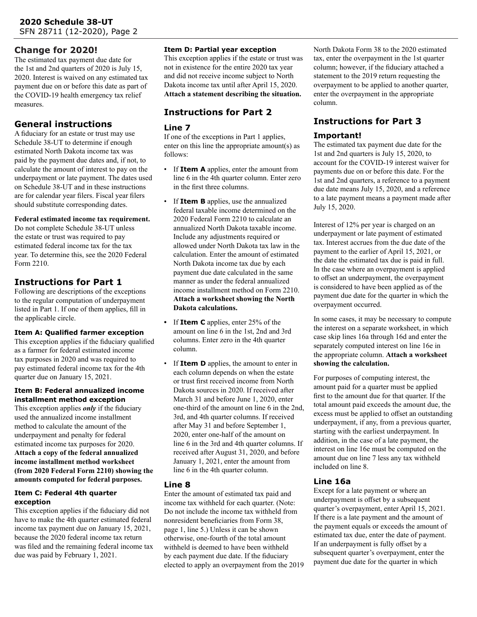### **Change for 2020!**

The estimated tax payment due date for the 1st and 2nd quarters of 2020 is July 15, 2020. Interest is waived on any estimated tax payment due on or before this date as part of the COVID-19 health emergency tax relief measures.

# **General instructions**

A fiduciary for an estate or trust may use Schedule 38-UT to determine if enough estimated North Dakota income tax was paid by the payment due dates and, if not, to calculate the amount of interest to pay on the underpayment or late payment. The dates used on Schedule 38-UT and in these instructions are for calendar year filers. Fiscal year filers should substitute corresponding dates.

#### **Federal estimated income tax requirement.**

Do not complete Schedule 38-UT unless the estate or trust was required to pay estimated federal income tax for the tax year. To determine this, see the 2020 Federal Form 2210.

# **Instructions for Part 1**

Following are descriptions of the exceptions to the regular computation of underpayment listed in Part 1. If one of them applies, fill in the applicable circle.

#### **Item A: Qualified farmer exception**

This exception applies if the fiduciary qualified as a farmer for federal estimated income tax purposes in 2020 and was required to pay estimated federal income tax for the 4th quarter due on January 15, 2021.

#### **Item B: Federal annualized income installment method exception**

This exception applies *only* if the fiduciary used the annualized income installment method to calculate the amount of the underpayment and penalty for federal estimated income tax purposes for 2020. **Attach a copy of the federal annualized income installment method worksheet (from 2020 Federal Form 2210) showing the amounts computed for federal purposes.**

#### **Item C: Federal 4th quarter exception**

This exception applies if the fiduciary did not have to make the 4th quarter estimated federal income tax payment due on January 15, 2021, because the 2020 federal income tax return was filed and the remaining federal income tax due was paid by February 1, 2021.

#### **Item D: Partial year exception**

This exception applies if the estate or trust was not in existence for the entire 2020 tax year and did not receive income subject to North Dakota income tax until after April 15, 2020. **Attach a statement describing the situation.**

## **Instructions for Part 2**

#### **Line 7**

If one of the exceptions in Part 1 applies, enter on this line the appropriate amount(s) as follows:

- If **Item A** applies, enter the amount from line 6 in the 4th quarter column. Enter zero in the first three columns.
- If **Item B** applies, use the annualized federal taxable income determined on the 2020 Federal Form 2210 to calculate an annualized North Dakota taxable income. Include any adjustments required or allowed under North Dakota tax law in the calculation. Enter the amount of estimated North Dakota income tax due by each payment due date calculated in the same manner as under the federal annualized income installment method on Form 2210. **Attach a worksheet showing the North Dakota calculations.**
- **•** If **Item C** applies, enter 25% of the amount on line 6 in the 1st, 2nd and 3rd columns. Enter zero in the 4th quarter column.
- If **Item D** applies, the amount to enter in each column depends on when the estate or trust first received income from North Dakota sources in 2020. If received after March 31 and before June 1, 2020, enter one-third of the amount on line 6 in the 2nd, 3rd, and 4th quarter columns. If received after May 31 and before September 1, 2020, enter one-half of the amount on line 6 in the 3rd and 4th quarter columns. If received after August 31, 2020, and before January 1, 2021, enter the amount from line 6 in the 4th quarter column.

#### **Line 8**

Enter the amount of estimated tax paid and income tax withheld for each quarter. (Note: Do not include the income tax withheld from nonresident beneficiaries from Form 38, page 1, line 5.) Unless it can be shown otherwise, one-fourth of the total amount withheld is deemed to have been withheld by each payment due date. If the fiduciary elected to apply an overpayment from the 2019 North Dakota Form 38 to the 2020 estimated tax, enter the overpayment in the 1st quarter column; however, if the fiduciary attached a statement to the 2019 return requesting the overpayment to be applied to another quarter, enter the overpayment in the appropriate column.

# **Instructions for Part 3**

### **Important!**

The estimated tax payment due date for the 1st and 2nd quarters is July 15, 2020, to account for the COVID-19 interest waiver for payments due on or before this date. For the 1st and 2nd quarters, a reference to a payment due date means July 15, 2020, and a reference to a late payment means a payment made after July 15, 2020.

Interest of 12% per year is charged on an underpayment or late payment of estimated tax. Interest accrues from the due date of the payment to the earlier of April 15, 2021, or the date the estimated tax due is paid in full. In the case where an overpayment is applied to offset an underpayment, the overpayment is considered to have been applied as of the payment due date for the quarter in which the overpayment occurred.

In some cases, it may be necessary to compute the interest on a separate worksheet, in which case skip lines 16a through 16d and enter the separately computed interest on line 16e in the appropriate column. **Attach a worksheet showing the calculation.**

For purposes of computing interest, the amount paid for a quarter must be applied first to the amount due for that quarter. If the total amount paid exceeds the amount due, the excess must be applied to offset an outstanding underpayment, if any, from a previous quarter, starting with the earliest underpayment. In addition, in the case of a late payment, the interest on line 16e must be computed on the amount due on line 7 less any tax withheld included on line 8.

### **Line 16a**

Except for a late payment or where an underpayment is offset by a subsequent quarter's overpayment, enter April 15, 2021. If there is a late payment and the amount of the payment equals or exceeds the amount of estimated tax due, enter the date of payment. If an underpayment is fully offset by a subsequent quarter's overpayment, enter the payment due date for the quarter in which